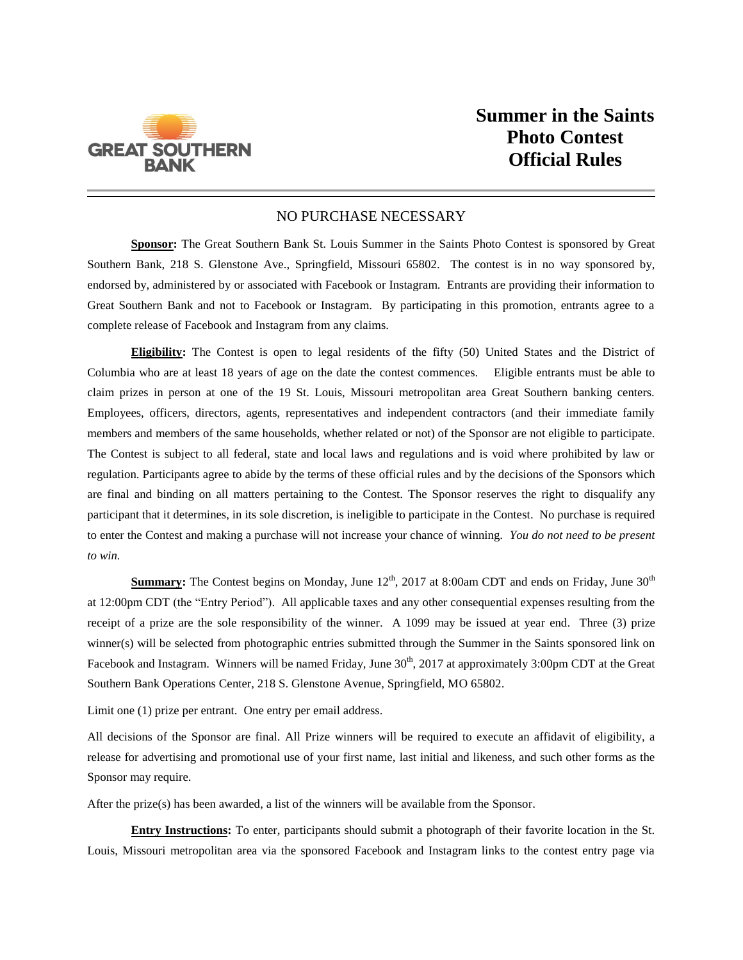

## NO PURCHASE NECESSARY

**Sponsor:** The Great Southern Bank St. Louis Summer in the Saints Photo Contest is sponsored by Great Southern Bank, 218 S. Glenstone Ave., Springfield, Missouri 65802. The contest is in no way sponsored by, endorsed by, administered by or associated with Facebook or Instagram. Entrants are providing their information to Great Southern Bank and not to Facebook or Instagram. By participating in this promotion, entrants agree to a complete release of Facebook and Instagram from any claims.

**Eligibility:** The Contest is open to legal residents of the fifty (50) United States and the District of Columbia who are at least 18 years of age on the date the contest commences. Eligible entrants must be able to claim prizes in person at one of the 19 St. Louis, Missouri metropolitan area Great Southern banking centers. Employees, officers, directors, agents, representatives and independent contractors (and their immediate family members and members of the same households, whether related or not) of the Sponsor are not eligible to participate. The Contest is subject to all federal, state and local laws and regulations and is void where prohibited by law or regulation. Participants agree to abide by the terms of these official rules and by the decisions of the Sponsors which are final and binding on all matters pertaining to the Contest. The Sponsor reserves the right to disqualify any participant that it determines, in its sole discretion, is ineligible to participate in the Contest. No purchase is required to enter the Contest and making a purchase will not increase your chance of winning. *You do not need to be present to win.*

**Summary:** The Contest begins on Monday, June  $12<sup>th</sup>$ , 2017 at 8:00am CDT and ends on Friday, June  $30<sup>th</sup>$ at 12:00pm CDT (the "Entry Period"). All applicable taxes and any other consequential expenses resulting from the receipt of a prize are the sole responsibility of the winner. A 1099 may be issued at year end. Three (3) prize winner(s) will be selected from photographic entries submitted through the Summer in the Saints sponsored link on Facebook and Instagram. Winners will be named Friday, June  $30<sup>th</sup>$ , 2017 at approximately 3:00pm CDT at the Great Southern Bank Operations Center, 218 S. Glenstone Avenue, Springfield, MO 65802.

Limit one (1) prize per entrant. One entry per email address.

All decisions of the Sponsor are final. All Prize winners will be required to execute an affidavit of eligibility, a release for advertising and promotional use of your first name, last initial and likeness, and such other forms as the Sponsor may require.

After the prize(s) has been awarded, a list of the winners will be available from the Sponsor.

**Entry Instructions:** To enter, participants should submit a photograph of their favorite location in the St. Louis, Missouri metropolitan area via the sponsored Facebook and Instagram links to the contest entry page via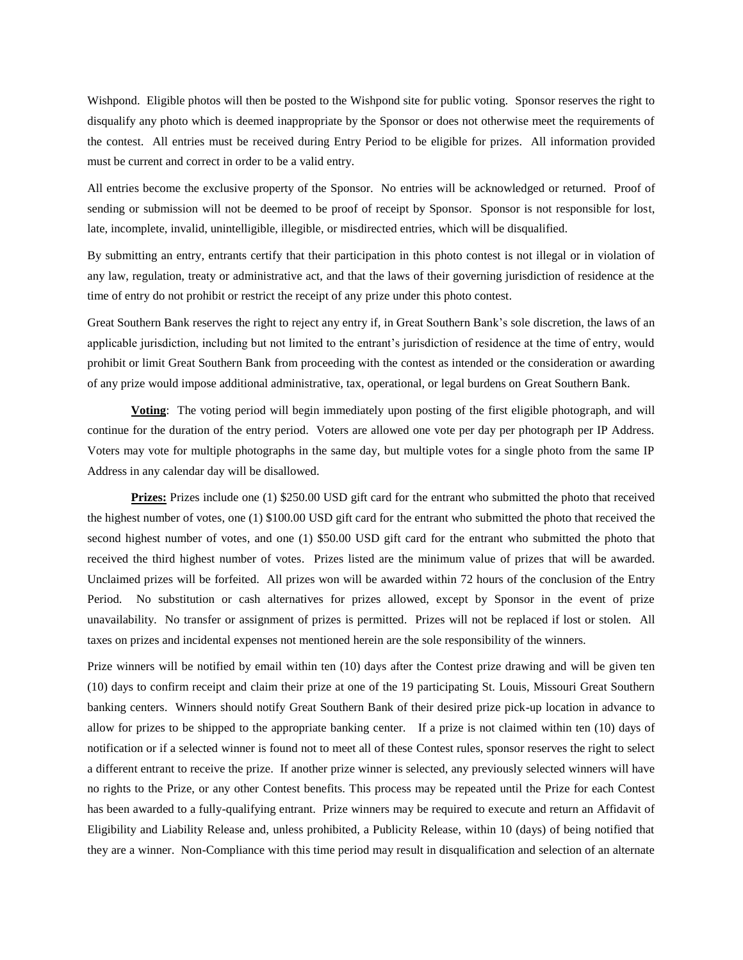Wishpond. Eligible photos will then be posted to the Wishpond site for public voting. Sponsor reserves the right to disqualify any photo which is deemed inappropriate by the Sponsor or does not otherwise meet the requirements of the contest. All entries must be received during Entry Period to be eligible for prizes. All information provided must be current and correct in order to be a valid entry.

All entries become the exclusive property of the Sponsor. No entries will be acknowledged or returned. Proof of sending or submission will not be deemed to be proof of receipt by Sponsor. Sponsor is not responsible for lost, late, incomplete, invalid, unintelligible, illegible, or misdirected entries, which will be disqualified.

By submitting an entry, entrants certify that their participation in this photo contest is not illegal or in violation of any law, regulation, treaty or administrative act, and that the laws of their governing jurisdiction of residence at the time of entry do not prohibit or restrict the receipt of any prize under this photo contest.

Great Southern Bank reserves the right to reject any entry if, in Great Southern Bank's sole discretion, the laws of an applicable jurisdiction, including but not limited to the entrant's jurisdiction of residence at the time of entry, would prohibit or limit Great Southern Bank from proceeding with the contest as intended or the consideration or awarding of any prize would impose additional administrative, tax, operational, or legal burdens on Great Southern Bank.

**Voting**: The voting period will begin immediately upon posting of the first eligible photograph, and will continue for the duration of the entry period. Voters are allowed one vote per day per photograph per IP Address. Voters may vote for multiple photographs in the same day, but multiple votes for a single photo from the same IP Address in any calendar day will be disallowed.

**Prizes:** Prizes include one (1) \$250.00 USD gift card for the entrant who submitted the photo that received the highest number of votes, one (1) \$100.00 USD gift card for the entrant who submitted the photo that received the second highest number of votes, and one (1) \$50.00 USD gift card for the entrant who submitted the photo that received the third highest number of votes. Prizes listed are the minimum value of prizes that will be awarded. Unclaimed prizes will be forfeited. All prizes won will be awarded within 72 hours of the conclusion of the Entry Period. No substitution or cash alternatives for prizes allowed, except by Sponsor in the event of prize unavailability. No transfer or assignment of prizes is permitted. Prizes will not be replaced if lost or stolen. All taxes on prizes and incidental expenses not mentioned herein are the sole responsibility of the winners.

Prize winners will be notified by email within ten (10) days after the Contest prize drawing and will be given ten (10) days to confirm receipt and claim their prize at one of the 19 participating St. Louis, Missouri Great Southern banking centers. Winners should notify Great Southern Bank of their desired prize pick-up location in advance to allow for prizes to be shipped to the appropriate banking center. If a prize is not claimed within ten (10) days of notification or if a selected winner is found not to meet all of these Contest rules, sponsor reserves the right to select a different entrant to receive the prize. If another prize winner is selected, any previously selected winners will have no rights to the Prize, or any other Contest benefits. This process may be repeated until the Prize for each Contest has been awarded to a fully-qualifying entrant. Prize winners may be required to execute and return an Affidavit of Eligibility and Liability Release and, unless prohibited, a Publicity Release, within 10 (days) of being notified that they are a winner. Non-Compliance with this time period may result in disqualification and selection of an alternate